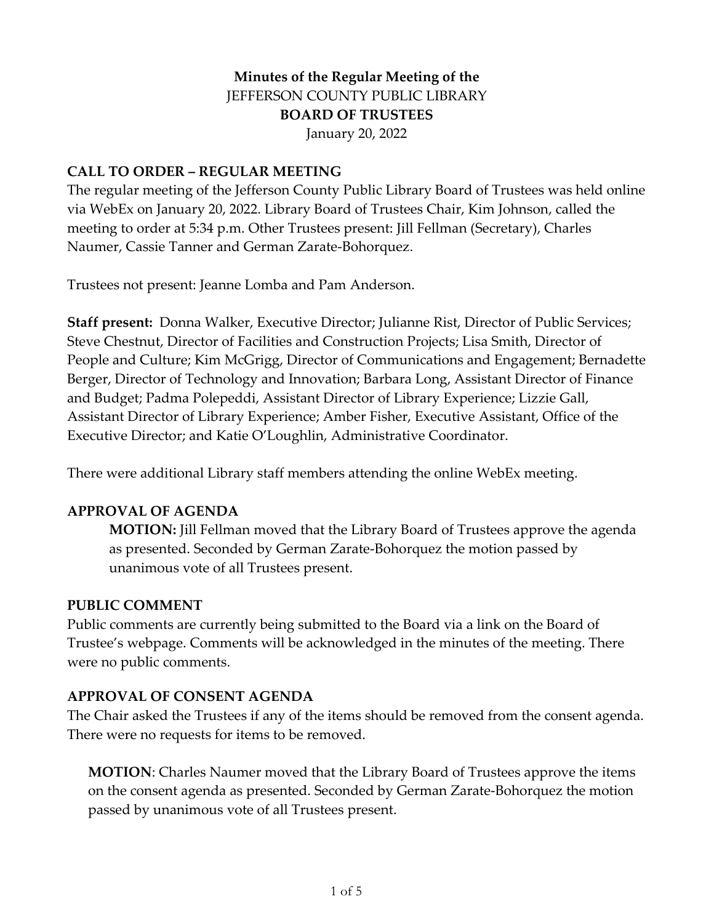# **Minutes of the Regular Meeting of the** JEFFERSON COUNTY PUBLIC LIBRARY **BOARD OF TRUSTEES** January 20, 2022

#### **CALL TO ORDER – REGULAR MEETING**

The regular meeting of the Jefferson County Public Library Board of Trustees was held online via WebEx on January 20, 2022. Library Board of Trustees Chair, Kim Johnson, called the meeting to order at 5:34 p.m. Other Trustees present: Jill Fellman (Secretary), Charles Naumer, Cassie Tanner and German Zarate-Bohorquez.

Trustees not present: Jeanne Lomba and Pam Anderson.

**Staff present:** Donna Walker, Executive Director; Julianne Rist, Director of Public Services; Steve Chestnut, Director of Facilities and Construction Projects; Lisa Smith, Director of People and Culture; Kim McGrigg, Director of Communications and Engagement; Bernadette Berger, Director of Technology and Innovation; Barbara Long, Assistant Director of Finance and Budget; Padma Polepeddi, Assistant Director of Library Experience; Lizzie Gall, Assistant Director of Library Experience; Amber Fisher, Executive Assistant, Office of the Executive Director; and Katie O'Loughlin, Administrative Coordinator.

There were additional Library staff members attending the online WebEx meeting.

#### **APPROVAL OF AGENDA**

**MOTION:** Jill Fellman moved that the Library Board of Trustees approve the agenda as presented. Seconded by German Zarate-Bohorquez the motion passed by unanimous vote of all Trustees present.

#### **PUBLIC COMMENT**

Public comments are currently being submitted to the Board via a link on the Board of Trustee's webpage. Comments will be acknowledged in the minutes of the meeting. There were no public comments.

#### **APPROVAL OF CONSENT AGENDA**

The Chair asked the Trustees if any of the items should be removed from the consent agenda. There were no requests for items to be removed.

**MOTION**: Charles Naumer moved that the Library Board of Trustees approve the items on the consent agenda as presented. Seconded by German Zarate-Bohorquez the motion passed by unanimous vote of all Trustees present.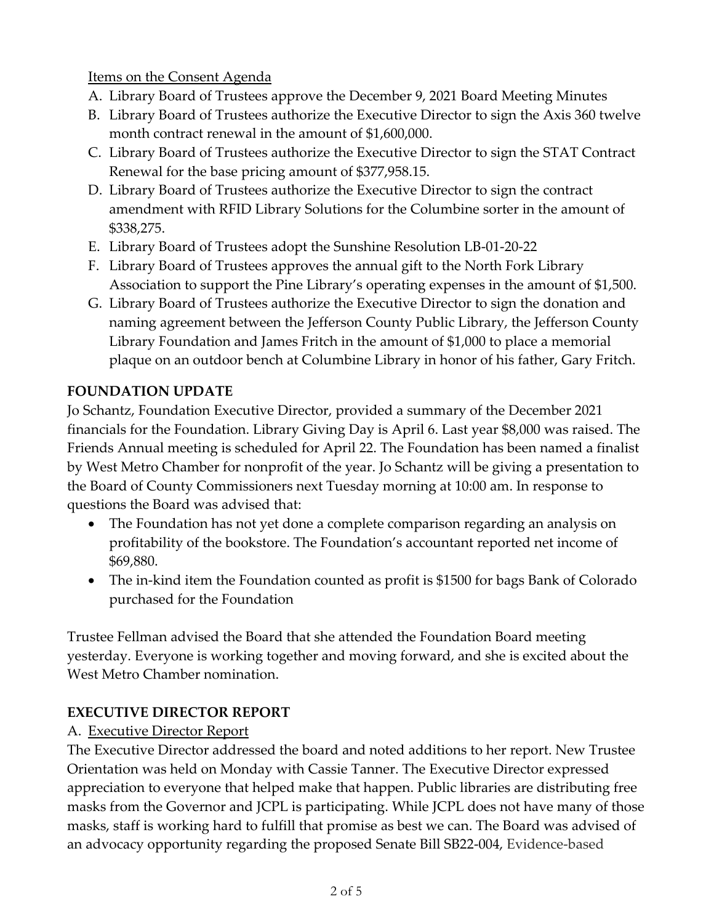## Items on the Consent Agenda

- A. Library Board of Trustees approve the December 9, 2021 Board Meeting Minutes
- B. Library Board of Trustees authorize the Executive Director to sign the Axis 360 twelve month contract renewal in the amount of \$1,600,000.
- C. Library Board of Trustees authorize the Executive Director to sign the STAT Contract Renewal for the base pricing amount of \$377,958.15.
- D. Library Board of Trustees authorize the Executive Director to sign the contract amendment with RFID Library Solutions for the Columbine sorter in the amount of \$338,275.
- E. Library Board of Trustees adopt the Sunshine Resolution LB-01-20-22
- F. Library Board of Trustees approves the annual gift to the North Fork Library Association to support the Pine Library's operating expenses in the amount of \$1,500.
- G. Library Board of Trustees authorize the Executive Director to sign the donation and naming agreement between the Jefferson County Public Library, the Jefferson County Library Foundation and James Fritch in the amount of \$1,000 to place a memorial plaque on an outdoor bench at Columbine Library in honor of his father, Gary Fritch.

# **FOUNDATION UPDATE**

Jo Schantz, Foundation Executive Director, provided a summary of the December 2021 financials for the Foundation. Library Giving Day is April 6. Last year \$8,000 was raised. The Friends Annual meeting is scheduled for April 22. The Foundation has been named a finalist by West Metro Chamber for nonprofit of the year. Jo Schantz will be giving a presentation to the Board of County Commissioners next Tuesday morning at 10:00 am. In response to questions the Board was advised that:

- The Foundation has not yet done a complete comparison regarding an analysis on profitability of the bookstore. The Foundation's accountant reported net income of \$69,880.
- The in-kind item the Foundation counted as profit is \$1500 for bags Bank of Colorado purchased for the Foundation

Trustee Fellman advised the Board that she attended the Foundation Board meeting yesterday. Everyone is working together and moving forward, and she is excited about the West Metro Chamber nomination.

# **EXECUTIVE DIRECTOR REPORT**

# A. Executive Director Report

The Executive Director addressed the board and noted additions to her report. New Trustee Orientation was held on Monday with Cassie Tanner. The Executive Director expressed appreciation to everyone that helped make that happen. Public libraries are distributing free masks from the Governor and JCPL is participating. While JCPL does not have many of those masks, staff is working hard to fulfill that promise as best we can. The Board was advised of an advocacy opportunity regarding the proposed Senate Bill SB22-004, Evidence-based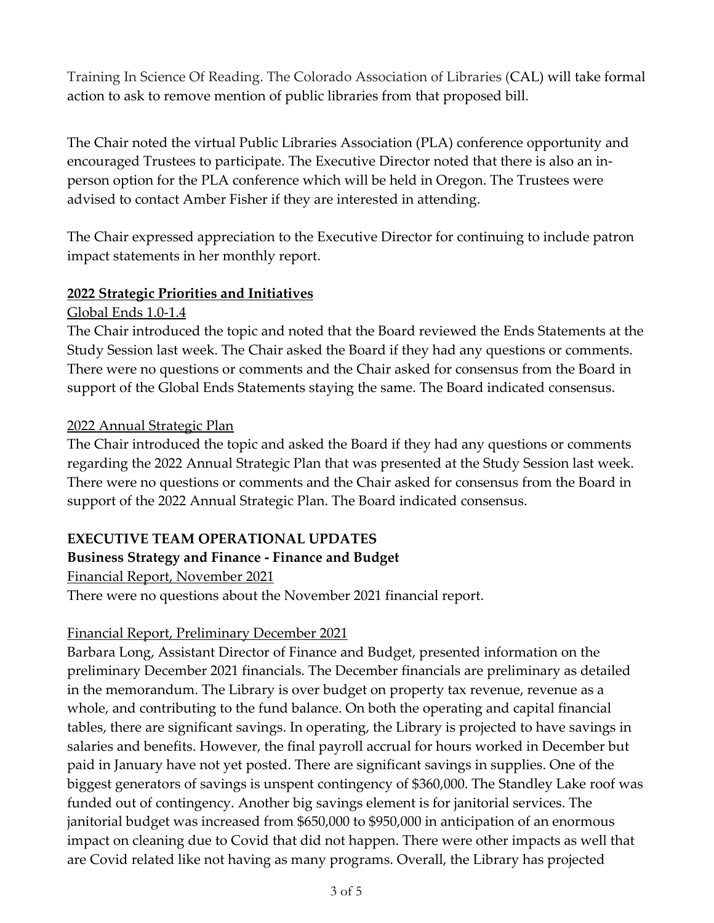Training In Science Of Reading. The Colorado Association of Libraries (CAL) will take formal action to ask to remove mention of public libraries from that proposed bill.

The Chair noted the virtual Public Libraries Association (PLA) conference opportunity and encouraged Trustees to participate. The Executive Director noted that there is also an inperson option for the PLA conference which will be held in Oregon. The Trustees were advised to contact Amber Fisher if they are interested in attending.

The Chair expressed appreciation to the Executive Director for continuing to include patron impact statements in her monthly report.

### **2022 Strategic Priorities and Initiatives**

### Global Ends 1.0-1.4

The Chair introduced the topic and noted that the Board reviewed the Ends Statements at the Study Session last week. The Chair asked the Board if they had any questions or comments. There were no questions or comments and the Chair asked for consensus from the Board in support of the Global Ends Statements staying the same. The Board indicated consensus.

### 2022 Annual Strategic Plan

The Chair introduced the topic and asked the Board if they had any questions or comments regarding the 2022 Annual Strategic Plan that was presented at the Study Session last week. There were no questions or comments and the Chair asked for consensus from the Board in support of the 2022 Annual Strategic Plan. The Board indicated consensus.

# **EXECUTIVE TEAM OPERATIONAL UPDATES**

# **Business Strategy and Finance - Finance and Budget**

Financial Report, November 2021

There were no questions about the November 2021 financial report.

# Financial Report, Preliminary December 2021

Barbara Long, Assistant Director of Finance and Budget, presented information on the preliminary December 2021 financials. The December financials are preliminary as detailed in the memorandum. The Library is over budget on property tax revenue, revenue as a whole, and contributing to the fund balance. On both the operating and capital financial tables, there are significant savings. In operating, the Library is projected to have savings in salaries and benefits. However, the final payroll accrual for hours worked in December but paid in January have not yet posted. There are significant savings in supplies. One of the biggest generators of savings is unspent contingency of \$360,000. The Standley Lake roof was funded out of contingency. Another big savings element is for janitorial services. The janitorial budget was increased from \$650,000 to \$950,000 in anticipation of an enormous impact on cleaning due to Covid that did not happen. There were other impacts as well that are Covid related like not having as many programs. Overall, the Library has projected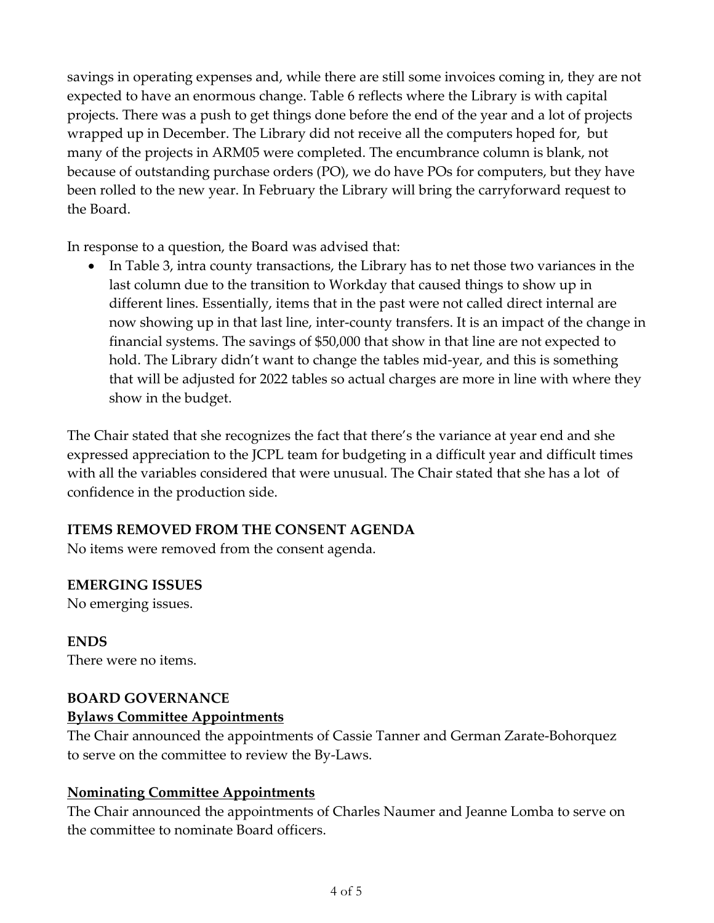savings in operating expenses and, while there are still some invoices coming in, they are not expected to have an enormous change. Table 6 reflects where the Library is with capital projects. There was a push to get things done before the end of the year and a lot of projects wrapped up in December. The Library did not receive all the computers hoped for, but many of the projects in ARM05 were completed. The encumbrance column is blank, not because of outstanding purchase orders (PO), we do have POs for computers, but they have been rolled to the new year. In February the Library will bring the carryforward request to the Board.

In response to a question, the Board was advised that:

• In Table 3, intra county transactions, the Library has to net those two variances in the last column due to the transition to Workday that caused things to show up in different lines. Essentially, items that in the past were not called direct internal are now showing up in that last line, inter-county transfers. It is an impact of the change in financial systems. The savings of \$50,000 that show in that line are not expected to hold. The Library didn't want to change the tables mid-year, and this is something that will be adjusted for 2022 tables so actual charges are more in line with where they show in the budget.

The Chair stated that she recognizes the fact that there's the variance at year end and she expressed appreciation to the JCPL team for budgeting in a difficult year and difficult times with all the variables considered that were unusual. The Chair stated that she has a lot of confidence in the production side.

### **ITEMS REMOVED FROM THE CONSENT AGENDA**

No items were removed from the consent agenda.

#### **EMERGING ISSUES**

No emerging issues.

**ENDS** There were no items.

#### **BOARD GOVERNANCE**

### **Bylaws Committee Appointments**

The Chair announced the appointments of Cassie Tanner and German Zarate-Bohorquez to serve on the committee to review the By-Laws.

### **Nominating Committee Appointments**

The Chair announced the appointments of Charles Naumer and Jeanne Lomba to serve on the committee to nominate Board officers.